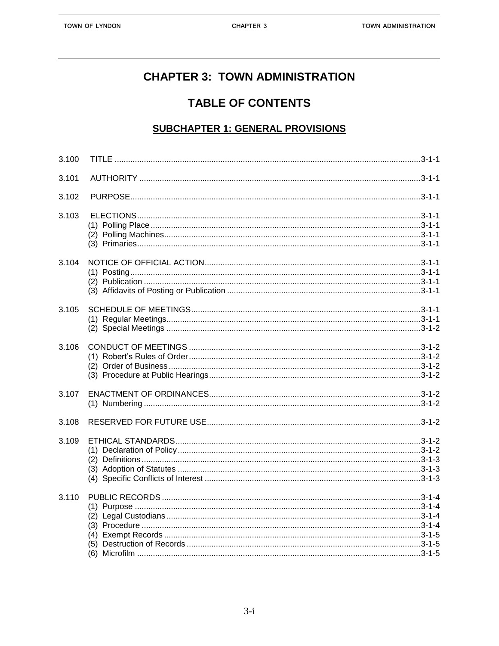# **CHAPTER 3: TOWN ADMINISTRATION**

## **TABLE OF CONTENTS**

#### **SUBCHAPTER 1: GENERAL PROVISIONS**

| 3.100 |  |
|-------|--|
| 3.101 |  |
| 3.102 |  |
| 3.103 |  |
| 3.104 |  |
| 3.105 |  |
| 3.106 |  |
| 3.107 |  |
| 3.108 |  |
| 3.109 |  |
| 3.110 |  |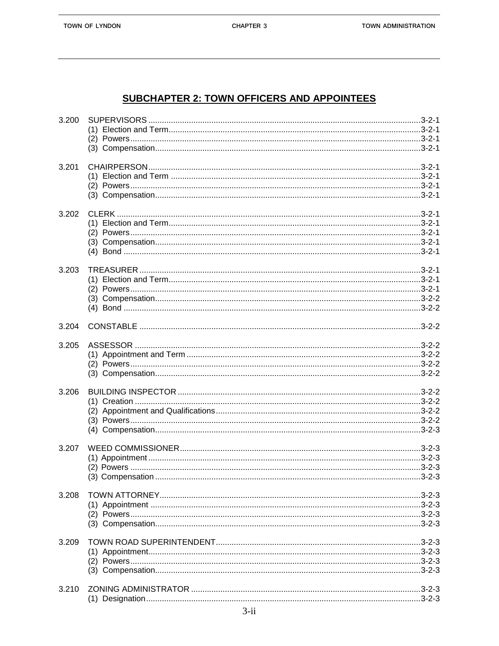TOWN OF LYNDON

### **SUBCHAPTER 2: TOWN OFFICERS AND APPOINTEES**

| 3.200 |  |
|-------|--|
| 3.201 |  |
| 3.202 |  |
| 3.203 |  |
| 3.204 |  |
| 3.205 |  |
| 3.206 |  |
| 3.207 |  |
| 3.208 |  |
| 3.209 |  |
| 3.210 |  |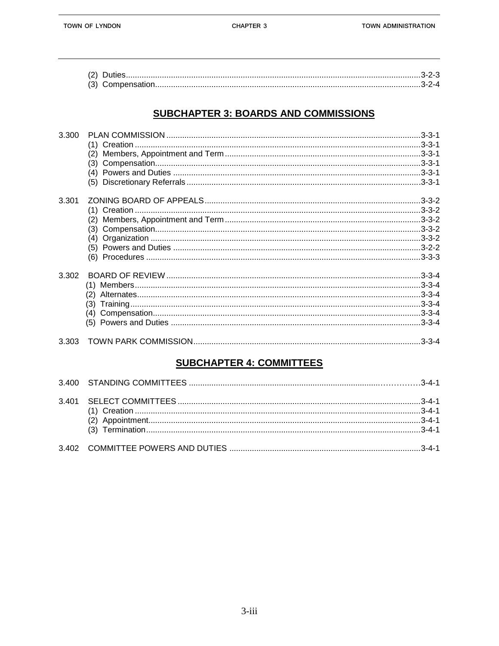#### **SUBCHAPTER 3: BOARDS AND COMMISSIONS**

| 3.300 |  |
|-------|--|
|       |  |
|       |  |
|       |  |
|       |  |
|       |  |
| 3.301 |  |
|       |  |
|       |  |
|       |  |
|       |  |
|       |  |
|       |  |
| 3.302 |  |
|       |  |
|       |  |
|       |  |
|       |  |
|       |  |
| 3.303 |  |

### **SUBCHAPTER 4: COMMITTEES**